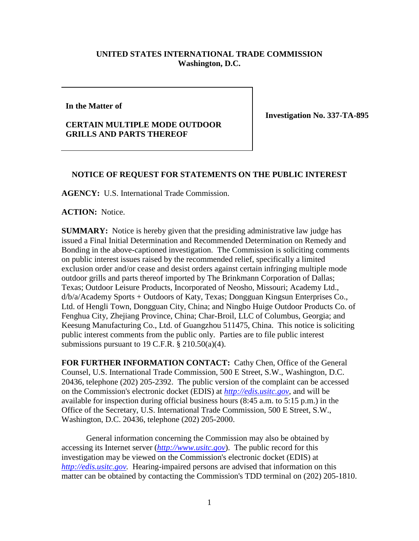## **UNITED STATES INTERNATIONAL TRADE COMMISSION Washington, D.C.**

## **In the Matter of**

## **CERTAIN MULTIPLE MODE OUTDOOR GRILLS AND PARTS THEREOF**

**Investigation No. 337-TA-895**

## **NOTICE OF REQUEST FOR STATEMENTS ON THE PUBLIC INTEREST**

**AGENCY:** U.S. International Trade Commission.

**ACTION:** Notice.

**SUMMARY:** Notice is hereby given that the presiding administrative law judge has issued a Final Initial Determination and Recommended Determination on Remedy and Bonding in the above-captioned investigation. The Commission is soliciting comments on public interest issues raised by the recommended relief, specifically a limited exclusion order and/or cease and desist orders against certain infringing multiple mode outdoor grills and parts thereof imported by The Brinkmann Corporation of Dallas; Texas; Outdoor Leisure Products, Incorporated of Neosho, Missouri; Academy Ltd., d/b/a/Academy Sports + Outdoors of Katy, Texas; Dongguan Kingsun Enterprises Co., Ltd. of Hengli Town, Dongguan City, China; and Ningbo Huige Outdoor Products Co. of Fenghua City, Zhejiang Province, China; Char-Broil, LLC of Columbus, Georgia; and Keesung Manufacturing Co., Ltd. of Guangzhou 511475, China. This notice is soliciting public interest comments from the public only. Parties are to file public interest submissions pursuant to 19 C.F.R.  $\S 210.50(a)(4)$ .

**FOR FURTHER INFORMATION CONTACT:** Cathy Chen, Office of the General Counsel, U.S. International Trade Commission, 500 E Street, S.W., Washington, D.C. 20436, telephone (202) 205-2392. The public version of the complaint can be accessed on the Commission's electronic docket (EDIS) at *[http://edis.usitc.gov](http://edis.usitc.gov/)*, and will be available for inspection during official business hours (8:45 a.m. to 5:15 p.m.) in the Office of the Secretary, U.S. International Trade Commission, 500 E Street, S.W., Washington, D.C. 20436, telephone (202) 205-2000.

General information concerning the Commission may also be obtained by accessing its Internet server (*[http://www.usitc.gov](http://www.usitc.gov/)*). The public record for this investigation may be viewed on the Commission's electronic docket (EDIS) at *[http://edis.usitc.gov.](http://edis.usitc.gov/)* Hearing-impaired persons are advised that information on this matter can be obtained by contacting the Commission's TDD terminal on (202) 205-1810.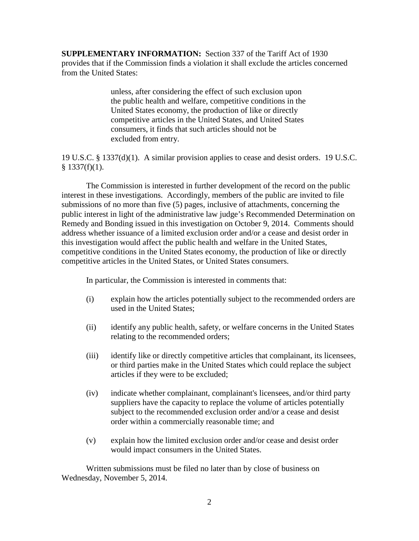**SUPPLEMENTARY INFORMATION:** Section 337 of the Tariff Act of 1930 provides that if the Commission finds a violation it shall exclude the articles concerned from the United States:

> unless, after considering the effect of such exclusion upon the public health and welfare, competitive conditions in the United States economy, the production of like or directly competitive articles in the United States, and United States consumers, it finds that such articles should not be excluded from entry.

19 U.S.C. § 1337(d)(1). A similar provision applies to cease and desist orders. 19 U.S.C.  $§$  1337(f)(1).

The Commission is interested in further development of the record on the public interest in these investigations. Accordingly, members of the public are invited to file submissions of no more than five (5) pages, inclusive of attachments, concerning the public interest in light of the administrative law judge's Recommended Determination on Remedy and Bonding issued in this investigation on October 9, 2014. Comments should address whether issuance of a limited exclusion order and/or a cease and desist order in this investigation would affect the public health and welfare in the United States, competitive conditions in the United States economy, the production of like or directly competitive articles in the United States, or United States consumers.

In particular, the Commission is interested in comments that:

- (i) explain how the articles potentially subject to the recommended orders are used in the United States;
- (ii) identify any public health, safety, or welfare concerns in the United States relating to the recommended orders;
- (iii) identify like or directly competitive articles that complainant, its licensees, or third parties make in the United States which could replace the subject articles if they were to be excluded;
- (iv) indicate whether complainant, complainant's licensees, and/or third party suppliers have the capacity to replace the volume of articles potentially subject to the recommended exclusion order and/or a cease and desist order within a commercially reasonable time; and
- (v) explain how the limited exclusion order and/or cease and desist order would impact consumers in the United States.

Written submissions must be filed no later than by close of business on Wednesday, November 5, 2014.